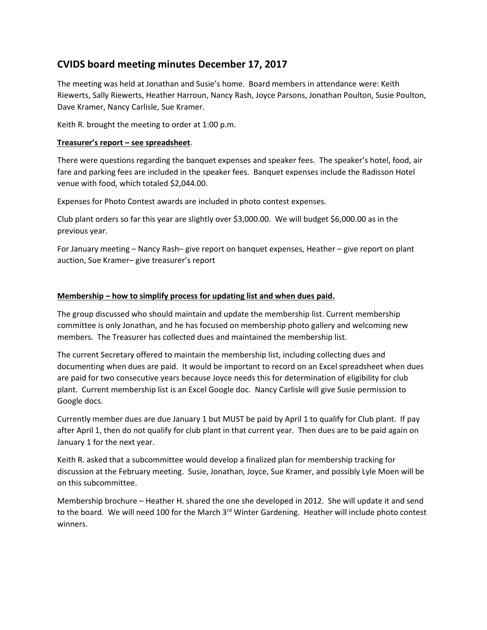# **CVIDS board meeting minutes December 17, 2017**

The meeting was held at Jonathan and Susie's home. Board members in attendance were: Keith Riewerts, Sally Riewerts, Heather Harroun, Nancy Rash, Joyce Parsons, Jonathan Poulton, Susie Poulton, Dave Kramer, Nancy Carlisle, Sue Kramer.

Keith R. brought the meeting to order at 1:00 p.m.

#### **Treasurer's report – see spreadsheet**.

There were questions regarding the banquet expenses and speaker fees. The speaker's hotel, food, air fare and parking fees are included in the speaker fees. Banquet expenses include the Radisson Hotel venue with food, which totaled \$2,044.00.

Expenses for Photo Contest awards are included in photo contest expenses.

Club plant orders so far this year are slightly over \$3,000.00. We will budget \$6,000.00 as in the previous year.

For January meeting – Nancy Rash– give report on banquet expenses, Heather – give report on plant auction, Sue Kramer– give treasurer's report

#### **Membership – how to simplify process for updating list and when dues paid.**

The group discussed who should maintain and update the membership list. Current membership committee is only Jonathan, and he has focused on membership photo gallery and welcoming new members. The Treasurer has collected dues and maintained the membership list.

The current Secretary offered to maintain the membership list, including collecting dues and documenting when dues are paid. It would be important to record on an Excel spreadsheet when dues are paid for two consecutive years because Joyce needs this for determination of eligibility for club plant. Current membership list is an Excel Google doc. Nancy Carlisle will give Susie permission to Google docs.

Currently member dues are due January 1 but MUST be paid by April 1 to qualify for Club plant. If pay after April 1, then do not qualify for club plant in that current year. Then dues are to be paid again on January 1 for the next year.

Keith R. asked that a subcommittee would develop a finalized plan for membership tracking for discussion at the February meeting. Susie, Jonathan, Joyce, Sue Kramer, and possibly Lyle Moen will be on this subcommittee.

Membership brochure – Heather H. shared the one she developed in 2012. She will update it and send to the board. We will need 100 for the March 3rd Winter Gardening. Heather will include photo contest winners.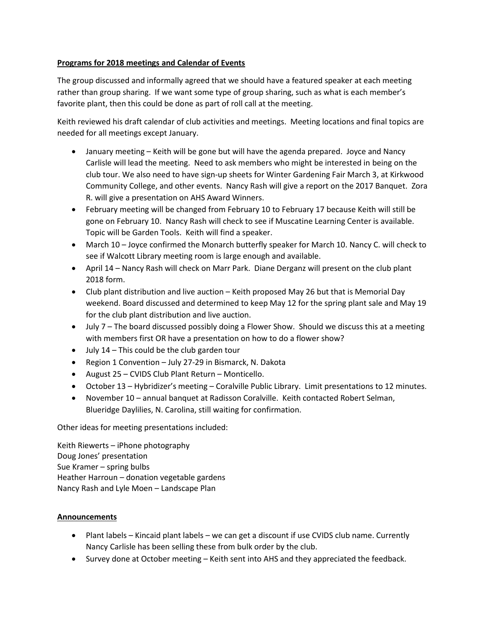### **Programs for 2018 meetings and Calendar of Events**

The group discussed and informally agreed that we should have a featured speaker at each meeting rather than group sharing. If we want some type of group sharing, such as what is each member's favorite plant, then this could be done as part of roll call at the meeting.

Keith reviewed his draft calendar of club activities and meetings. Meeting locations and final topics are needed for all meetings except January.

- January meeting Keith will be gone but will have the agenda prepared. Joyce and Nancy Carlisle will lead the meeting. Need to ask members who might be interested in being on the club tour. We also need to have sign-up sheets for Winter Gardening Fair March 3, at Kirkwood Community College, and other events. Nancy Rash will give a report on the 2017 Banquet. Zora R. will give a presentation on AHS Award Winners.
- February meeting will be changed from February 10 to February 17 because Keith will still be gone on February 10. Nancy Rash will check to see if Muscatine Learning Center is available. Topic will be Garden Tools. Keith will find a speaker.
- March 10 Joyce confirmed the Monarch butterfly speaker for March 10. Nancy C. will check to see if Walcott Library meeting room is large enough and available.
- April 14 Nancy Rash will check on Marr Park. Diane Derganz will present on the club plant 2018 form.
- Club plant distribution and live auction Keith proposed May 26 but that is Memorial Day weekend. Board discussed and determined to keep May 12 for the spring plant sale and May 19 for the club plant distribution and live auction.
- July 7 The board discussed possibly doing a Flower Show. Should we discuss this at a meeting with members first OR have a presentation on how to do a flower show?
- July 14 This could be the club garden tour
- Region 1 Convention July 27-29 in Bismarck, N. Dakota
- August 25 CVIDS Club Plant Return Monticello.
- October 13 Hybridizer's meeting Coralville Public Library. Limit presentations to 12 minutes.
- November 10 annual banquet at Radisson Coralville. Keith contacted Robert Selman, Blueridge Daylilies, N. Carolina, still waiting for confirmation.

Other ideas for meeting presentations included:

Keith Riewerts – iPhone photography Doug Jones' presentation Sue Kramer – spring bulbs Heather Harroun – donation vegetable gardens Nancy Rash and Lyle Moen – Landscape Plan

## **Announcements**

- Plant labels Kincaid plant labels we can get a discount if use CVIDS club name. Currently Nancy Carlisle has been selling these from bulk order by the club.
- Survey done at October meeting Keith sent into AHS and they appreciated the feedback.